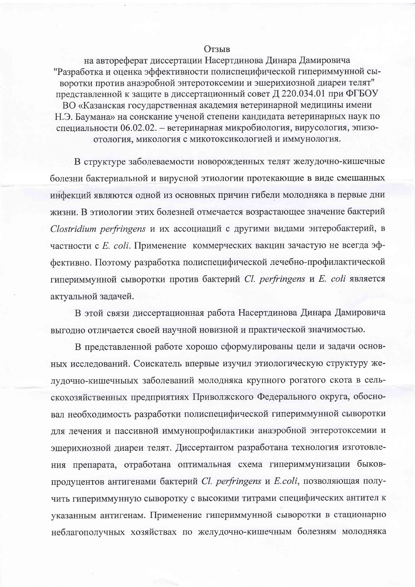## **Отзыв**

на автореферат диссертации Насертдинова Динара Дамировича "Разработка и оценка эффективности полиспецифической гипериммунной сыворотки против анаэробной энтеротоксемии и эшерихиозной диареи телят" представленной к защите в диссертационный совет Д 220.034.01 при ФГБОУ ВО «Казанская государственная академия ветеринарной медицины имени Н.Э. Баумана» на соискание ученой степени кандидата ветеринарных наук по специальности 06.02.02. - ветеринарная микробиология, вирусология, эпизоотология, микология с микотоксикологией и иммунология.

В структуре заболеваемости новорожденных телят желудочно-кишечные болезни бактериальной и вирусной этиологии протекающие в виде смешанных инфекций являются одной из основных причин гибели молодняка в первые дни жизни. В этиологии этих болезней отмечается возрастающее значение бактерий Clostridium perfringens и их ассоциаций с другими видами энтеробактерий, в частности с *E. coli*. Применение коммерческих вакцин зачастую не всегда эффективно. Поэтому разработка полиспецифической лечебно-профилактической гипериммунной сыворотки против бактерий Cl. perfringens и E. coli является актуальной задачей.

В этой связи диссертационная работа Насертдинова Динара Дамировича выгодно отличается своей научной новизной и практической значимостью.

В представленной работе хорошо сформулированы цели и задачи основных исследований. Соискатель впервые изучил этиологическую структуру желудочно-кишечныых заболеваний молодняка крупного рогатого скота в сельскохозяйственных предприятиях Приволжского Федерального округа, обосновал необходимость разработки полиспецифической гипериммунной сыворотки для лечения и пассивной иммунопрофилактики анаэробной энтеротоксемии и эшерихиозной диареи телят. Диссертантом разработана технология изготовления препарата, отработана оптимальная схема гипериммунизации быковпродуцентов антигенами бактерий Cl. perfringens и E.coli, позволяющая получить гипериммунную сыворотку с высокими титрами специфических антител к указанным антигенам. Применение гипериммунной сыворотки в стационарно неблагополучных хозяйствах по желудочно-кишечным болезням молодняка